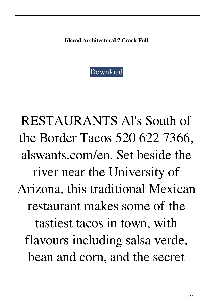**Idecad Architectural 7 Crack Full**



RESTAURANTS Al's South of the Border Tacos 520 622 7366, alswants.com/en. Set beside the river near the University of Arizona, this traditional Mexican restaurant makes some of the tastiest tacos in town, with flavours including salsa verde, bean and corn, and the secret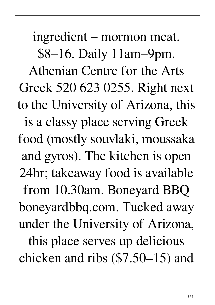ingredient – mormon meat. \$8–16. Daily 11am–9pm. Athenian Centre for the Arts Greek 520 623 0255. Right next to the University of Arizona, this is a classy place serving Greek food (mostly souvlaki, moussaka and gyros). The kitchen is open 24hr; takeaway food is available from 10.30am. Boneyard BBQ boneyardbbq.com. Tucked away under the University of Arizona, this place serves up delicious

chicken and ribs (\$7.50–15) and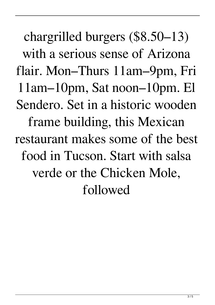chargrilled burgers (\$8.50–13) with a serious sense of Arizona flair. Mon–Thurs 11am–9pm, Fri 11am–10pm, Sat noon–10pm. El Sendero. Set in a historic wooden frame building, this Mexican restaurant makes some of the best food in Tucson. Start with salsa verde or the Chicken Mole, followed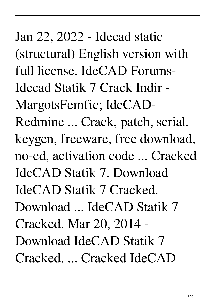Jan 22, 2022 - Idecad static (structural) English version with full license. IdeCAD Forums-Idecad Statik 7 Crack Indir - MargotsFemfic; IdeCAD-Redmine ... Crack, patch, serial, keygen, freeware, free download, no-cd, activation code ... Cracked IdeCAD Statik 7. Download IdeCAD Statik 7 Cracked. Download ... IdeCAD Statik 7 Cracked. Mar 20, 2014 - Download IdeCAD Statik 7 Cracked. ... Cracked IdeCAD